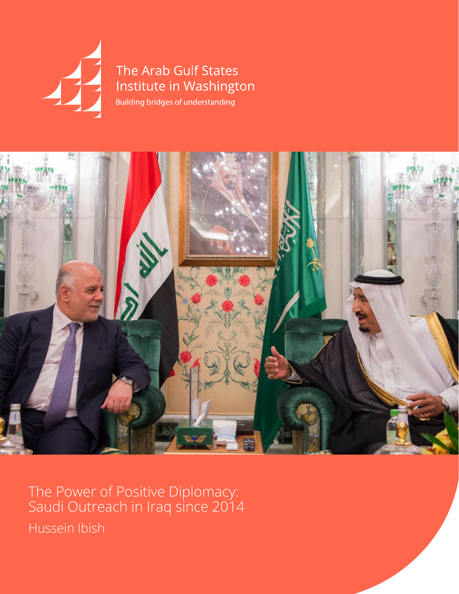

The Arab Gulf States Institute in Washington Building bridges of understanding



The Power of Positive Diplomacy: Saudi Outreach in Iraq since 2014 Hussein Ibish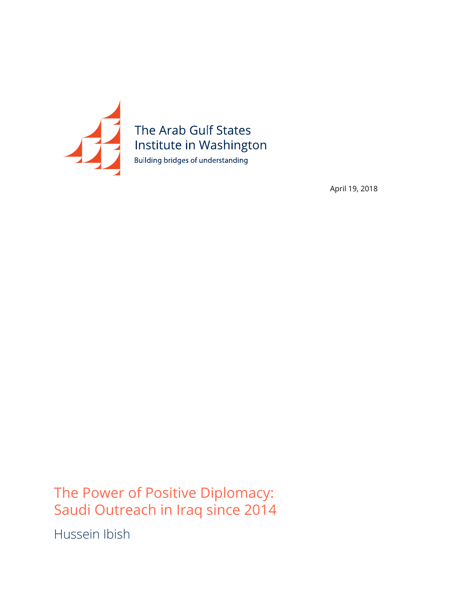

April 19, 2018

The Power of Positive Diplomacy: Saudi Outreach in Iraq since 2014

Hussein Ibish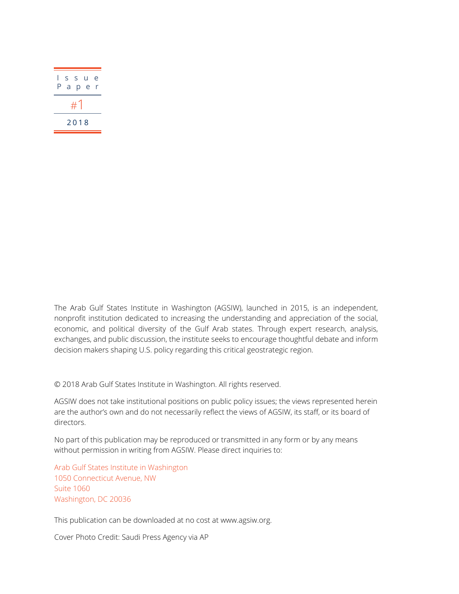| L<br>Ρ |  |  | s s u e<br>a p e r |  |
|--------|--|--|--------------------|--|
| #1     |  |  |                    |  |
| 2018   |  |  |                    |  |

The Arab Gulf States Institute in Washington (AGSIW), launched in 2015, is an independent, nonprofit institution dedicated to increasing the understanding and appreciation of the social, economic, and political diversity of the Gulf Arab states. Through expert research, analysis, exchanges, and public discussion, the institute seeks to encourage thoughtful debate and inform decision makers shaping U.S. policy regarding this critical geostrategic region.

© 2018 Arab Gulf States Institute in Washington. All rights reserved.

AGSIW does not take institutional positions on public policy issues; the views represented herein are the author's own and do not necessarily reflect the views of AGSIW, its staff, or its board of directors.

No part of this publication may be reproduced or transmitted in any form or by any means without permission in writing from AGSIW. Please direct inquiries to:

Arab Gulf States Institute in Washington 1050 Connecticut Avenue, NW Suite 1060 Washington, DC 20036

This publication can be downloaded at no cost at [www.agsiw.org](http://www.agsiw.org).

Cover Photo Credit: Saudi Press Agency via AP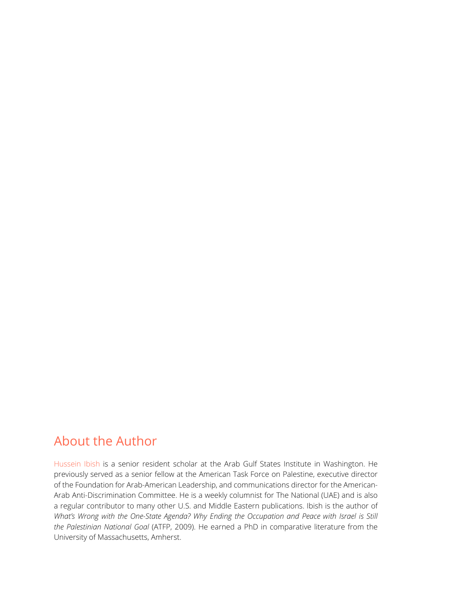## About the Author

Hussein Ibish is a senior resident scholar at the Arab Gulf States Institute in Washington. He previously served as a senior fellow at the American Task Force on Palestine, executive director of the Foundation for Arab-American Leadership, and communications director for the American-Arab Anti-Discrimination Committee. He is a weekly columnist for The National (UAE) and is also a regular contributor to many other U.S. and Middle Eastern publications. Ibish is the author of *What's Wrong with the One-State Agenda? Why Ending the Occupation and Peace with Israel is Still the Palestinian National Goal* (ATFP, 2009). He earned a PhD in comparative literature from the University of Massachusetts, Amherst.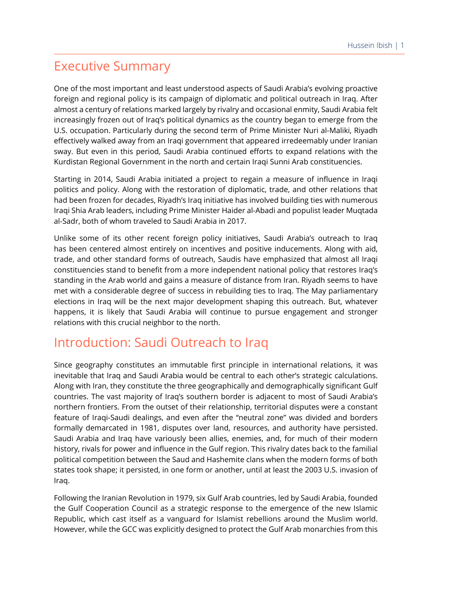## Executive Summary

One of the most important and least understood aspects of Saudi Arabia's evolving proactive foreign and regional policy is its campaign of diplomatic and political outreach in Iraq. After almost a century of relations marked largely by rivalry and occasional enmity, Saudi Arabia felt increasingly frozen out of Iraq's political dynamics as the country began to emerge from the U.S. occupation. Particularly during the second term of Prime Minister Nuri al-Maliki, Riyadh effectively walked away from an Iraqi government that appeared irredeemably under Iranian sway. But even in this period, Saudi Arabia continued efforts to expand relations with the Kurdistan Regional Government in the north and certain Iraqi Sunni Arab constituencies.

Starting in 2014, Saudi Arabia initiated a project to regain a measure of influence in Iraqi politics and policy. Along with the restoration of diplomatic, trade, and other relations that had been frozen for decades, Riyadh's Iraq initiative has involved building ties with numerous Iraqi Shia Arab leaders, including Prime Minister Haider al-Abadi and populist leader Muqtada al-Sadr, both of whom traveled to Saudi Arabia in 2017.

Unlike some of its other recent foreign policy initiatives, Saudi Arabia's outreach to Iraq has been centered almost entirely on incentives and positive inducements. Along with aid, trade, and other standard forms of outreach, Saudis have emphasized that almost all Iraqi constituencies stand to benefit from a more independent national policy that restores Iraq's standing in the Arab world and gains a measure of distance from Iran. Riyadh seems to have met with a considerable degree of success in rebuilding ties to Iraq. The May parliamentary elections in Iraq will be the next major development shaping this outreach. But, whatever happens, it is likely that Saudi Arabia will continue to pursue engagement and stronger relations with this crucial neighbor to the north.

## Introduction: Saudi Outreach to Iraq

Since geography constitutes an immutable first principle in international relations, it was inevitable that Iraq and Saudi Arabia would be central to each other's strategic calculations. Along with Iran, they constitute the three geographically and demographically significant Gulf countries. The vast majority of Iraq's southern border is adjacent to most of Saudi Arabia's northern frontiers. From the outset of their relationship, territorial disputes were a constant feature of Iraqi-Saudi dealings, and even after the "neutral zone" was divided and borders formally demarcated in 1981, disputes over land, resources, and authority have persisted. Saudi Arabia and Iraq have variously been allies, enemies, and, for much of their modern history, rivals for power and influence in the Gulf region. This rivalry dates back to the familial political competition between the Saud and Hashemite clans when the modern forms of both states took shape; it persisted, in one form or another, until at least the 2003 U.S. invasion of Iraq.

Following the Iranian Revolution in 1979, six Gulf Arab countries, led by Saudi Arabia, founded the Gulf Cooperation Council as a strategic response to the emergence of the new Islamic Republic, which cast itself as a vanguard for Islamist rebellions around the Muslim world. However, while the GCC was explicitly designed to protect the Gulf Arab monarchies from this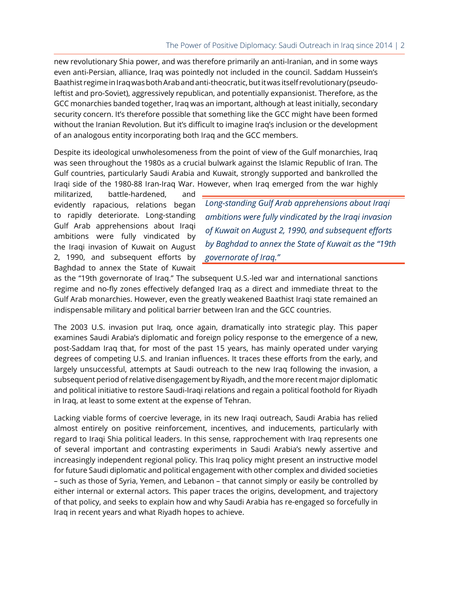new revolutionary Shia power, and was therefore primarily an anti-Iranian, and in some ways even anti-Persian, alliance, Iraq was pointedly not included in the council. Saddam Hussein's Baathist regime in Iraq was both Arab and anti-theocratic, but it was itself revolutionary (pseudoleftist and pro-Soviet), aggressively republican, and potentially expansionist. Therefore, as the GCC monarchies banded together, Iraq was an important, although at least initially, secondary security concern. It's therefore possible that something like the GCC might have been formed without the Iranian Revolution. But it's difficult to imagine Iraq's inclusion or the development of an analogous entity incorporating both Iraq and the GCC members.

Despite its ideological unwholesomeness from the point of view of the Gulf monarchies, Iraq was seen throughout the 1980s as a crucial bulwark against the Islamic Republic of Iran. The Gulf countries, particularly Saudi Arabia and Kuwait, strongly supported and bankrolled the Iraqi side of the 1980-88 Iran-Iraq War. However, when Iraq emerged from the war highly

militarized, battle-hardened, and evidently rapacious, relations began to rapidly deteriorate. Long-standing Gulf Arab apprehensions about Iraqi ambitions were fully vindicated by the Iraqi invasion of Kuwait on August 2, 1990, and subsequent efforts by Baghdad to annex the State of Kuwait

*Long-standing Gulf Arab apprehensions about Iraqi ambitions were fully vindicated by the Iraqi invasion of Kuwait on August 2, 1990, and subsequent efforts by Baghdad to annex the State of Kuwait as the "19th governorate of Iraq."*

as the "19th governorate of Iraq." The subsequent U.S.-led war and international sanctions regime and no-fly zones effectively defanged Iraq as a direct and immediate threat to the Gulf Arab monarchies. However, even the greatly weakened Baathist Iraqi state remained an indispensable military and political barrier between Iran and the GCC countries.

The 2003 U.S. invasion put Iraq, once again, dramatically into strategic play. This paper examines Saudi Arabia's diplomatic and foreign policy response to the emergence of a new, post-Saddam Iraq that, for most of the past 15 years, has mainly operated under varying degrees of competing U.S. and Iranian influences. It traces these efforts from the early, and largely unsuccessful, attempts at Saudi outreach to the new Iraq following the invasion, a subsequent period of relative disengagement by Riyadh, and the more recent major diplomatic and political initiative to restore Saudi-Iraqi relations and regain a political foothold for Riyadh in Iraq, at least to some extent at the expense of Tehran.

Lacking viable forms of coercive leverage, in its new Iraqi outreach, Saudi Arabia has relied almost entirely on positive reinforcement, incentives, and inducements, particularly with regard to Iraqi Shia political leaders. In this sense, rapprochement with Iraq represents one of several important and contrasting experiments in Saudi Arabia's newly assertive and increasingly independent regional policy. This Iraq policy might present an instructive model for future Saudi diplomatic and political engagement with other complex and divided societies – such as those of Syria, Yemen, and Lebanon – that cannot simply or easily be controlled by either internal or external actors. This paper traces the origins, development, and trajectory of that policy, and seeks to explain how and why Saudi Arabia has re-engaged so forcefully in Iraq in recent years and what Riyadh hopes to achieve.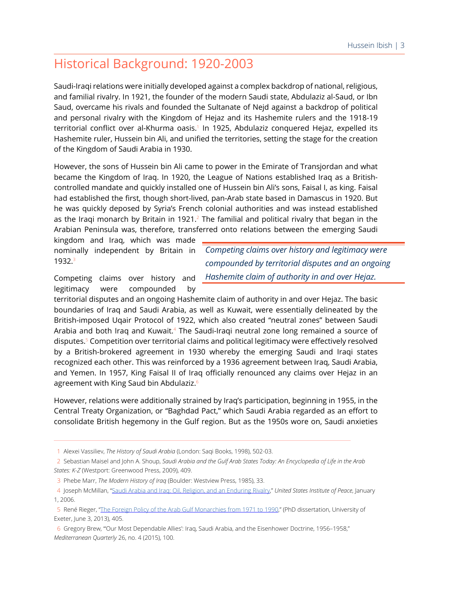# Historical Background: 1920-2003

Saudi-Iraqi relations were initially developed against a complex backdrop of national, religious, and familial rivalry. In 1921, the founder of the modern Saudi state, Abdulaziz al-Saud, or Ibn Saud, overcame his rivals and founded the Sultanate of Nejd against a backdrop of political and personal rivalry with the Kingdom of Hejaz and its Hashemite rulers and the 1918-19 territorial conflict over al-Khurma oasis.<sup>1</sup> In 1925, Abdulaziz conquered Hejaz, expelled its Hashemite ruler, Hussein bin Ali, and unified the territories, setting the stage for the creation of the Kingdom of Saudi Arabia in 1930.

However, the sons of Hussein bin Ali came to power in the Emirate of Transjordan and what became the Kingdom of Iraq. In 1920, the League of Nations established Iraq as a Britishcontrolled mandate and quickly installed one of Hussein bin Ali's sons, Faisal I, as king. Faisal had established the first, though short-lived, pan-Arab state based in Damascus in 1920. But he was quickly deposed by Syria's French colonial authorities and was instead established as the Iraqi monarch by Britain in 1921.<sup>2</sup> The familial and political rivalry that began in the Arabian Peninsula was, therefore, transferred onto relations between the emerging Saudi

kingdom and Iraq, which was made nominally independent by Britain in 1932.<sup>3</sup>

*Competing claims over history and legitimacy were compounded by territorial disputes and an ongoing Hashemite claim of authority in and over Hejaz.*

Competing claims over history and legitimacy were compounded by

territorial disputes and an ongoing Hashemite claim of authority in and over Hejaz. The basic boundaries of Iraq and Saudi Arabia, as well as Kuwait, were essentially delineated by the British-imposed Uqair Protocol of 1922, which also created "neutral zones" between Saudi Arabia and both Iraq and Kuwait.<sup>4</sup> The Saudi-Iraqi neutral zone long remained a source of disputes.<sup>5</sup> Competition over territorial claims and political legitimacy were effectively resolved by a British-brokered agreement in 1930 whereby the emerging Saudi and Iraqi states recognized each other. This was reinforced by a 1936 agreement between Iraq, Saudi Arabia, and Yemen. In 1957, King Faisal II of Iraq officially renounced any claims over Hejaz in an agreement with King Saud bin Abdulaziz.<sup>6</sup>

However, relations were additionally strained by Iraq's participation, beginning in 1955, in the Central Treaty Organization, or "Baghdad Pact," which Saudi Arabia regarded as an effort to consolidate British hegemony in the Gulf region. But as the 1950s wore on, Saudi anxieties

 <sup>1</sup> Alexei Vassiliev, *The History of Saudi Arabia* (London: Saqi Books, 1998), 502-03.

 <sup>2</sup> Sebastian Maisel and John A. Shoup, *Saudi Arabia and the Gulf Arab States Today: An Encyclopedia of Life in the Arab States: K-Z* (Westport: Greenwood Press, 2009), 409.

 <sup>3</sup> Phebe Marr, *The Modern History of Iraq* (Boulder: Westview Press, 1985), 33.

 <sup>4</sup> Joseph McMillan, ["Saudi Arabia and Iraq: Oil, Religion, and an Enduring Rivalry](https://www.usip.org/publications/2006/01/saudi-arabia-and-iraq-oil-religion-and-enduring-rivalry)," *United States Institute of Peace*, January 1, 2006.

 <sup>5</sup> René Rieger, ["The Foreign Policy of the Arab Gulf Monarchies from 1971 to 1990](https://ore.exeter.ac.uk/repository/handle/10871/13709)," (PhD dissertation, University of Exeter, June 3, 2013), 405.

 <sup>6</sup> Gregory Brew, "'Our Most Dependable Allies': Iraq, Saudi Arabia, and the Eisenhower Doctrine, 1956–1958," *Mediterranean Quarterly* 26, no. 4 (2015), 100.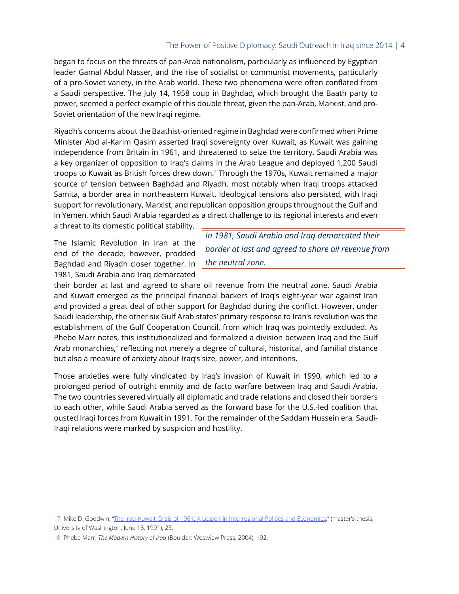began to focus on the threats of pan-Arab nationalism, particularly as influenced by Egyptian leader Gamal Abdul Nasser, and the rise of socialist or communist movements, particularly of a pro-Soviet variety, in the Arab world. These two phenomena were often conflated from a Saudi perspective. The July 14, 1958 coup in Baghdad, which brought the Baath party to power, seemed a perfect example of this double threat, given the pan-Arab, Marxist, and pro-Soviet orientation of the new Iraqi regime.

Riyadh's concerns about the Baathist-oriented regime in Baghdad were confirmed when Prime Minister Abd al-Karim Qasim asserted Iraqi sovereignty over Kuwait, as Kuwait was gaining independence from Britain in 1961, and threatened to seize the territory. Saudi Arabia was a key organizer of opposition to Iraq's claims in the Arab League and deployed 1,200 Saudi troops to Kuwait as British forces drew down.<sup>7</sup> Through the 1970s, Kuwait remained a major source of tension between Baghdad and Riyadh, most notably when Iraqi troops attacked Samita, a border area in northeastern Kuwait. Ideological tensions also persisted, with Iraqi support for revolutionary, Marxist, and republican opposition groups throughout the Gulf and in Yemen, which Saudi Arabia regarded as a direct challenge to its regional interests and even

a threat to its domestic political stability.

The Islamic Revolution in Iran at the end of the decade, however, prodded Baghdad and Riyadh closer together. In 1981, Saudi Arabia and Iraq demarcated

*In 1981, Saudi Arabia and Iraq demarcated their border at last and agreed to share oil revenue from the neutral zone.*

their border at last and agreed to share oil revenue from the neutral zone. Saudi Arabia and Kuwait emerged as the principal financial backers of Iraq's eight-year war against Iran and provided a great deal of other support for Baghdad during the conflict. However, under Saudi leadership, the other six Gulf Arab states' primary response to Iran's revolution was the establishment of the Gulf Cooperation Council, from which Iraq was pointedly excluded. As Phebe Marr notes, this institutionalized and formalized a division between Iraq and the Gulf Arab monarchies,<sup>8</sup> reflecting not merely a degree of cultural, historical, and familial distance but also a measure of anxiety about Iraq's size, power, and intentions.

Those anxieties were fully vindicated by Iraq's invasion of Kuwait in 1990, which led to a prolonged period of outright enmity and de facto warfare between Iraq and Saudi Arabia. The two countries severed virtually all diplomatic and trade relations and closed their borders to each other, while Saudi Arabia served as the forward base for the U.S.-led coalition that ousted Iraqi forces from Kuwait in 1991. For the remainder of the Saddam Hussein era, Saudi-Iraqi relations were marked by suspicion and hostility.

 <sup>7</sup> Mike D. Goodwin, "[The Iraq-Kuwait Crisis of 1961: A Lesson in Interregional Politics and Economics](http://www.dtic.mil/dtic/tr/fulltext/u2/a238674.pdf)," (master's thesis, University of Washington, June 13, 1991), 25.

 <sup>8</sup> Phebe Marr, *The Modern History of Iraq* (Boulder: Westview Press, 2004), 192.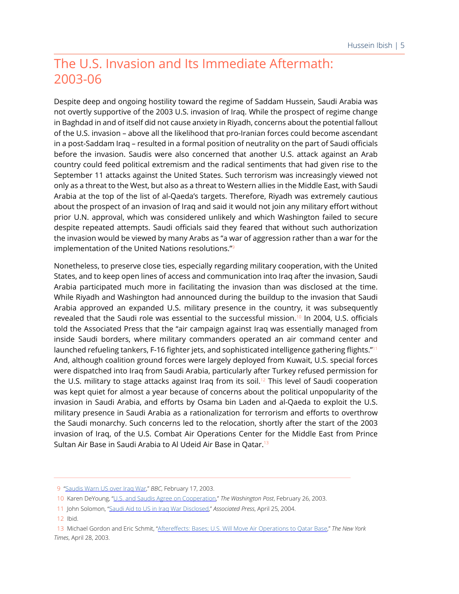## The U.S. Invasion and Its Immediate Aftermath: 2003-06

Despite deep and ongoing hostility toward the regime of Saddam Hussein, Saudi Arabia was not overtly supportive of the 2003 U.S. invasion of Iraq. While the prospect of regime change in Baghdad in and of itself did not cause anxiety in Riyadh, concerns about the potential fallout of the U.S. invasion – above all the likelihood that pro-Iranian forces could become ascendant in a post-Saddam Iraq – resulted in a formal position of neutrality on the part of Saudi officials before the invasion. Saudis were also concerned that another U.S. attack against an Arab country could feed political extremism and the radical sentiments that had given rise to the September 11 attacks against the United States. Such terrorism was increasingly viewed not only as a threat to the West, but also as a threat to Western allies in the Middle East, with Saudi Arabia at the top of the list of al-Qaeda's targets. Therefore, Riyadh was extremely cautious about the prospect of an invasion of Iraq and said it would not join any military effort without prior U.N. approval, which was considered unlikely and which Washington failed to secure despite repeated attempts. Saudi officials said they feared that without such authorization the invasion would be viewed by many Arabs as "a war of aggression rather than a war for the implementation of the United Nations resolutions."<sup>9</sup>

Nonetheless, to preserve close ties, especially regarding military cooperation, with the United States, and to keep open lines of access and communication into Iraq after the invasion, Saudi Arabia participated much more in facilitating the invasion than was disclosed at the time. While Riyadh and Washington had announced during the buildup to the invasion that Saudi Arabia approved an expanded U.S. military presence in the country, it was subsequently revealed that the Saudi role was essential to the successful mission.<sup>10</sup> In 2004, U.S. officials told the Associated Press that the "air campaign against Iraq was essentially managed from inside Saudi borders, where military commanders operated an air command center and launched refueling tankers, F-16 fighter jets, and sophisticated intelligence gathering flights."<sup>11</sup> And, although coalition ground forces were largely deployed from Kuwait, U.S. special forces were dispatched into Iraq from Saudi Arabia, particularly after Turkey refused permission for the U.S. military to stage attacks against Iraq from its soil.<sup>12</sup> This level of Saudi cooperation was kept quiet for almost a year because of concerns about the political unpopularity of the invasion in Saudi Arabia, and efforts by Osama bin Laden and al-Qaeda to exploit the U.S. military presence in Saudi Arabia as a rationalization for terrorism and efforts to overthrow the Saudi monarchy. Such concerns led to the relocation, shortly after the start of the 2003 invasion of Iraq, of the U.S. Combat Air Operations Center for the Middle East from Prince Sultan Air Base in Saudi Arabia to Al Udeid Air Base in Qatar.<sup>13</sup>

 <sup>9</sup> ["Saudis Warn US over Iraq War](http://news.bbc.co.uk/2/hi/middle_east/2773759.stm)," *BBC*, February 17, 2003.

 <sup>10</sup> Karen DeYoung, ["U.S. and Saudis Agree on Cooperation](https://www.washingtonpost.com/archive/politics/2003/02/26/us-and-saudis-agree-on-cooperation/a55e2a2a-6cc3-43bc-bac9-c8eea1fa8ae9/?utm_term=.0e8d78262e08)," *The Washington Post*, February 26, 2003.

 <sup>11</sup> John Solomon, "[Saudi Aid to US in Iraq War Disclosed,](http://archive.boston.com/news/world/articles/2004/04/25/saudi_aid_to_us_in_iraq_war_disclosed/)" *Associated Press*, April 25, 2004.

 <sup>12</sup> Ibid.

 <sup>13</sup> Michael Gordon and Eric Schmit, "[Aftereffects: Bases; U.S. Will Move Air Operations to Qatar Base](https://www.nytimes.com/2003/04/28/world/aftereffects-bases-us-will-move-air-operations-to-qatar-base.html)," *The New York Times*, April 28, 2003.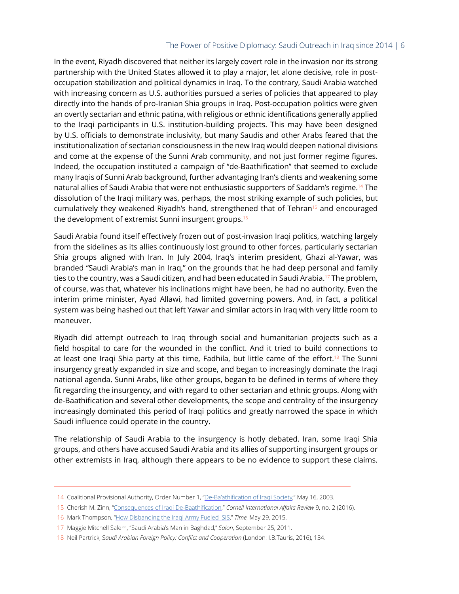### The Power of Positive Diplomacy: Saudi Outreach in Iraq since 2014 | 6

In the event, Riyadh discovered that neither its largely covert role in the invasion nor its strong partnership with the United States allowed it to play a major, let alone decisive, role in postoccupation stabilization and political dynamics in Iraq. To the contrary, Saudi Arabia watched with increasing concern as U.S. authorities pursued a series of policies that appeared to play directly into the hands of pro-Iranian Shia groups in Iraq. Post-occupation politics were given an overtly sectarian and ethnic patina, with religious or ethnic identifications generally applied to the Iraqi participants in U.S. institution-building projects. This may have been designed by U.S. officials to demonstrate inclusivity, but many Saudis and other Arabs feared that the institutionalization of sectarian consciousness in the new Iraq would deepen national divisions and come at the expense of the Sunni Arab community, and not just former regime figures. Indeed, the occupation instituted a campaign of "de-Baathification" that seemed to exclude many Iraqis of Sunni Arab background, further advantaging Iran's clients and weakening some natural allies of Saudi Arabia that were not enthusiastic supporters of Saddam's regime.<sup>14</sup> The dissolution of the Iraqi military was, perhaps, the most striking example of such policies, but cumulatively they weakened Riyadh's hand, strengthened that of Tehran<sup>15</sup> and encouraged the development of extremist Sunni insurgent groups.<sup>16</sup>

Saudi Arabia found itself effectively frozen out of post-invasion Iraqi politics, watching largely from the sidelines as its allies continuously lost ground to other forces, particularly sectarian Shia groups aligned with Iran. In July 2004, Iraq's interim president, Ghazi al-Yawar, was branded "Saudi Arabia's man in Iraq," on the grounds that he had deep personal and family ties to the country, was a Saudi citizen, and had been educated in Saudi Arabia.<sup>17</sup> The problem, of course, was that, whatever his inclinations might have been, he had no authority. Even the interim prime minister, Ayad Allawi, had limited governing powers. And, in fact, a political system was being hashed out that left Yawar and similar actors in Iraq with very little room to maneuver.

Riyadh did attempt outreach to Iraq through social and humanitarian projects such as a field hospital to care for the wounded in the conflict. And it tried to build connections to at least one Iraqi Shia party at this time, Fadhila, but little came of the effort.<sup>18</sup> The Sunni insurgency greatly expanded in size and scope, and began to increasingly dominate the Iraqi national agenda. Sunni Arabs, like other groups, began to be defined in terms of where they fit regarding the insurgency, and with regard to other sectarian and ethnic groups. Along with de-Baathification and several other developments, the scope and centrality of the insurgency increasingly dominated this period of Iraqi politics and greatly narrowed the space in which Saudi influence could operate in the country.

The relationship of Saudi Arabia to the insurgency is hotly debated. Iran, some Iraqi Shia groups, and others have accused Saudi Arabia and its allies of supporting insurgent groups or other extremists in Iraq, although there appears to be no evidence to support these claims.

 <sup>14</sup> Coalitional Provisional Authority, Order Number 1, "[De-Ba'athification of Iraqi Society](https://web.archive.org/web/20080509145453/http:/www.cpa-iraq.org/regulations/20030516_CPAORD_1_De-Ba_athification_of_Iraqi_Society_.pdf)," May 16, 2003.

 <sup>15</sup> Cherish M. Zinn, "[Consequences of Iraqi De-Baathification](http://www.inquiriesjournal.com/articles/1415/consequences-of-iraqi-de-baathification)," *Cornell International Affairs Review* 9, no. 2 (2016).

 <sup>16</sup> Mark Thompson, ["How Disbanding the Iraqi Army Fueled ISIS,](http://time.com/3900753/isis-iraq-syria-army-united-states-military/)" *Time*, May 29, 2015.

 <sup>17</sup> Maggie Mitchell Salem, "Saudi Arabia's Man in Baghdad," *Salon*, September 25, 2011.

 <sup>18</sup> Neil Partrick, S*audi Arabian Foreign Policy: Conflict and Cooperation* (London: I.B.Tauris, 2016), 134.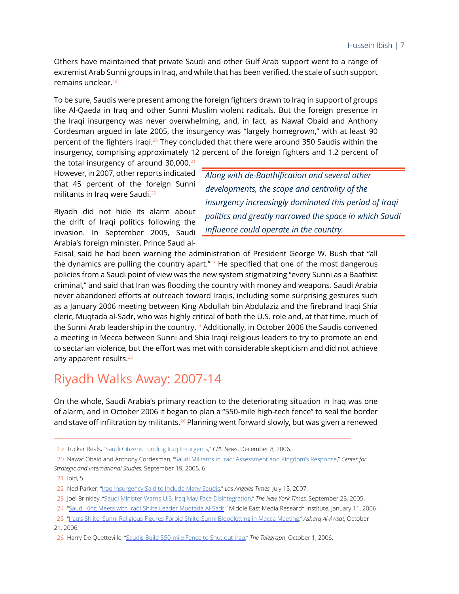Others have maintained that private Saudi and other Gulf Arab support went to a range of extremist Arab Sunni groups in Iraq, and while that has been verified, the scale of such support remains unclear.<sup>19</sup>

To be sure, Saudis were present among the foreign fighters drawn to Iraq in support of groups like Al-Qaeda in Iraq and other Sunni Muslim violent radicals. But the foreign presence in the Iraqi insurgency was never overwhelming, and, in fact, as Nawaf Obaid and Anthony Cordesman argued in late 2005, the insurgency was "largely homegrown," with at least 90 percent of the fighters Iraqi.<sup>20</sup> They concluded that there were around 350 Saudis within the insurgency, comprising approximately 12 percent of the foreign fighters and 1.2 percent of

the total insurgency of around  $30,000$ .<sup>21</sup> However, in 2007, other reports indicated that 45 percent of the foreign Sunni militants in Iraq were Saudi.<sup>22</sup>

Riyadh did not hide its alarm about the drift of Iraqi politics following the invasion. In September 2005, Saudi Arabia's foreign minister, Prince Saud al-

*Along with de-Baathification and several other developments, the scope and centrality of the insurgency increasingly dominated this period of Iraqi politics and greatly narrowed the space in which Saudi influence could operate in the country.*

Faisal, said he had been warning the administration of President George W. Bush that "all the dynamics are pulling the country apart. $1/23$  He specified that one of the most dangerous policies from a Saudi point of view was the new system stigmatizing "every Sunni as a Baathist criminal," and said that Iran was flooding the country with money and weapons. Saudi Arabia never abandoned efforts at outreach toward Iraqis, including some surprising gestures such as a January 2006 meeting between King Abdullah bin Abdulaziz and the firebrand Iraqi Shia cleric, Muqtada al-Sadr, who was highly critical of both the U.S. role and, at that time, much of the Sunni Arab leadership in the country.<sup>24</sup> Additionally, in October 2006 the Saudis convened a meeting in Mecca between Sunni and Shia Iraqi religious leaders to try to promote an end to sectarian violence, but the effort was met with considerable skepticism and did not achieve any apparent results.<sup>25</sup>

## Riyadh Walks Away: 2007-14

On the whole, Saudi Arabia's primary reaction to the deteriorating situation in Iraq was one of alarm, and in October 2006 it began to plan a "550-mile high-tech fence" to seal the border and stave off infiltration by militants.<sup>26</sup> Planning went forward slowly, but was given a renewed

 <sup>19</sup> Tucker Reals, "[Saudi Citizens Funding Iraq Insurgents,](https://www.cbsnews.com/news/saudi-citizens-funding-iraq-insurgents/)" *CBS News*, December 8, 2006.

 <sup>20</sup> Nawaf Obaid and Anthony Cordesman, ["Saudi Militants in Iraq: Assessment and Kingdom's Response](https://csis-prod.s3.amazonaws.com/s3fs-public/legacy_files/files/media/csis/pubs/050919_saudimiltantsiraq.pdf)," *Center for Strategic and International Studies*, September 19, 2005, 6.

 <sup>21</sup> Ibid, 5.

 <sup>22</sup> Ned Parker, ["Iraq Insurgency Said to Include Many Saudis,](http://articles.latimes.com/2007/jul/15/world/fg-saudi15)" *Los Angeles Times*, July 15, 2007.

 <sup>23</sup> Joel Brinkley, "[Saudi Minister Warns U.S. Iraq May Face Disintegration](https://www.nytimes.com/2005/09/23/world/saudi-minister-warns-us-iraq-may-face-disintegration.html)," *The New York Times*, September 23, 2005.

 <sup>24 &</sup>quot;[Saudi King Meets with Iraqi Shiite Leader Muqtada Al-Sadr](https://www.memri.org/tv/saudi-king-meets-iraqi-shiite-leader-muqtada-al-sadr/transcript)," Middle East Media Research Institute, January 11, 2006.

 <sup>25 &</sup>quot;[Iraq's Shiite, Sunni Religious Figures Forbid Shiite-Sunni Bloodletting in Mecca Meeting](https://eng-archive.aawsat.com/theaawsat/news-middle-east/iraqs-shiite-sunni-religious-figures-forbid-shiite-sunni-bloodletting-in-mecca-meeting.)," *Asharq Al-Awsat*, October 21, 2006.

 <sup>26</sup> Harry De Quetteville, "[Saudis Build 550-mile Fence to Shut out Iraq](https://www.telegraph.co.uk/news/worldnews/1530285/Saudis-build-550-mile-fence-to-shut-out-Iraq.html)," *The Telegraph*, October 1, 2006.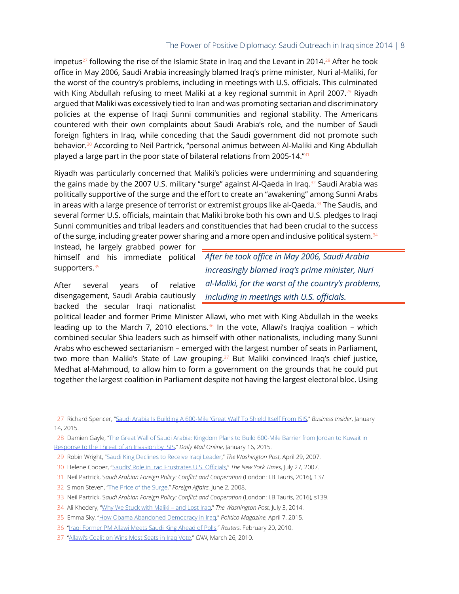#### The Power of Positive Diplomacy: Saudi Outreach in Iraq since 2014 | 8

impetus<sup>27</sup> following the rise of the Islamic State in Iraq and the Levant in 2014.<sup>28</sup> After he took office in May 2006, Saudi Arabia increasingly blamed Iraq's prime minister, Nuri al-Maliki, for the worst of the country's problems, including in meetings with U.S. officials. This culminated with King Abdullah refusing to meet Maliki at a key regional summit in April 2007.<sup>29</sup> Riyadh argued that Maliki was excessively tied to Iran and was promoting sectarian and discriminatory policies at the expense of Iraqi Sunni communities and regional stability. The Americans countered with their own complaints about Saudi Arabia's role, and the number of Saudi foreign fighters in Iraq, while conceding that the Saudi government did not promote such behavior.<sup>30</sup> According to Neil Partrick, "personal animus between Al-Maliki and King Abdullah played a large part in the poor state of bilateral relations from 2005-14."<sup>31</sup>

Riyadh was particularly concerned that Maliki's policies were undermining and squandering the gains made by the 2007 U.S. military "surge" against Al-Qaeda in Iraq.<sup>32</sup> Saudi Arabia was politically supportive of the surge and the effort to create an "awakening" among Sunni Arabs in areas with a large presence of terrorist or extremist groups like al-Qaeda. $33$  The Saudis, and several former U.S. officials, maintain that Maliki broke both his own and U.S. pledges to Iraqi Sunni communities and tribal leaders and constituencies that had been crucial to the success of the surge, including greater power sharing and a more open and inclusive political system. $34$ 

Instead, he largely grabbed power for himself and his immediate political supporters.<sup>35</sup>

After several years of relative disengagement, Saudi Arabia cautiously backed the secular Iraqi nationalist

*After he took office in May 2006, Saudi Arabia increasingly blamed Iraq's prime minister, Nuri al-Maliki, for the worst of the country's problems, including in meetings with U.S. officials.*

political leader and former Prime Minister Allawi, who met with King Abdullah in the weeks leading up to the March 7, 2010 elections.<sup>36</sup> In the vote, Allawi's Iraqiya coalition – which combined secular Shia leaders such as himself with other nationalists, including many Sunni Arabs who eschewed sectarianism – emerged with the largest number of seats in Parliament, two more than Maliki's State of Law grouping.<sup>37</sup> But Maliki convinced Iraq's chief justice, Medhat al-Mahmoud, to allow him to form a government on the grounds that he could put together the largest coalition in Parliament despite not having the largest electoral bloc. Using

33 Neil Partrick, S*audi Arabian Foreign Policy: Conflict and Cooperation* (London: I.B.Tauris, 2016), s139.

 <sup>27</sup> Richard Spencer, "[Saudi Arabia Is Building A 600-Mile 'Great Wall' To Shield Itself From ISIS,](http://www.businessinsider.com/saudi-arabia-is-building-a-600-mile-great-wall-to-shield-from-isis-2015-1?IR=T&)" *Business Insider*, January 14, 2015.

<sup>28</sup> Damien Gayle, "The Great Wall of Saudi Arabia: Kingdom Plans to Build 600-Mile Barrier from Jordan to Kuwait in [Response to the Threat of an Invasion by ISIS](http://www.dailymail.co.uk/news/article-2912334/The-Great-Wall-Saudi-Arabia-Kingdom-plans-build-600-mile-barrier-Jordan-Kuwait-response-threat-invasion-ISIS.html)," *Daily Mail Online*, January 16, 2015.

 <sup>29</sup> Robin Wright, ["Saudi King Declines to Receive Iraqi Leader,](http://www.washingtonpost.com/wp-dyn/content/article/2007/04/28/AR2007042801163.html)" *The Washington Post*, April 29, 2007.

 <sup>30</sup> Helene Cooper, "[Saudis' Role in Iraq Frustrates U.S. Officials](https://www.nytimes.com/2007/07/27/world/middleeast/27saudi.html?mtrref=undefined&gwh=FC760DBA5A461534791D4192391AA9CE&gwt=pay.)," *The New York Times*, July 27, 2007.

 <sup>31</sup> Neil Partrick, S*audi Arabian Foreign Policy: Conflict and Cooperation* (London: I.B.Tauris, 2016), 137.

 <sup>32</sup> Simon Steven, "[The Price of the Surge,](https://archive.nytimes.com/www.nytimes.com/cfr/world/20080503faessay_v87n3_simon.html?pagewanted=5)" *Foreign Affairs*, June 2, 2008.

 <sup>34</sup> Ali Khedery, "[Why We Stuck with Maliki – and Lost Iraq,](https://www.washingtonpost.com/opinions/why-we-stuck-with-maliki--and-lost-iraq/2014/07/03/0dd6a8a4-f7ec-11e3-a606-946fd632f9f1_story.html?utm_term=.aa0403ffabcf)" *The Washington Post*, July 3, 2014.

 <sup>35</sup> Emma Sky, "[How Obama Abandoned Democracy in Iraq](https://www.politico.com/magazine/story/2015/04/obama-iraq-116708)," *Politico Magazine*, April 7, 2015.

 <sup>36 &</sup>quot;[Iraqi Former PM Allawi Meets Saudi King Ahead of Polls,](https://www.reuters.com/article/us-iraq-saudi-allawi/iraqi-former-pm-allawi-meets-saudi-king-ahead-of-polls-idUSTRE61J2IC20100220)" *Reuters*, February 20, 2010.

 <sup>37 &</sup>quot;[Allawi's Coalition Wins Most Seats in Iraq Vote,](http://www.cnn.com/2010/WORLD/meast/03/26/iraq.election/index.html)" *CNN*, March 26, 2010.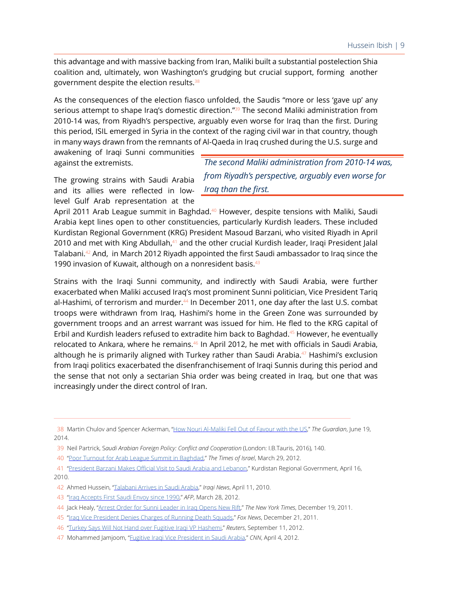this advantage and with massive backing from Iran, Maliki built a substantial postelection Shia coalition and, ultimately, won Washington's grudging but crucial support, forming another government despite the election results.<sup>38</sup>

As the consequences of the election fiasco unfolded, the Saudis "more or less 'gave up' any serious attempt to shape Iraq's domestic direction."<sup>39</sup> The second Maliki administration from 2010-14 was, from Riyadh's perspective, arguably even worse for Iraq than the first. During this period, ISIL emerged in Syria in the context of the raging civil war in that country, though in many ways drawn from the remnants of Al-Qaeda in Iraq crushed during the U.S. surge and

awakening of Iraqi Sunni communities against the extremists.

The growing strains with Saudi Arabia and its allies were reflected in lowlevel Gulf Arab representation at the

*The second Maliki administration from 2010-14 was, from Riyadh's perspective, arguably even worse for Iraq than the first.*

April 2011 Arab League summit in Baghdad.<sup>40</sup> However, despite tensions with Maliki, Saudi Arabia kept lines open to other constituencies, particularly Kurdish leaders. These included Kurdistan Regional Government (KRG) President Masoud Barzani, who visited Riyadh in April 2010 and met with King Abdullah,<sup>41</sup> and the other crucial Kurdish leader, Iraqi President Jalal Talabani.<sup>42</sup> And, in March 2012 Riyadh appointed the first Saudi ambassador to Iraq since the 1990 invasion of Kuwait, although on a nonresident basis.<sup>43</sup>

Strains with the Iraqi Sunni community, and indirectly with Saudi Arabia, were further exacerbated when Maliki accused Iraq's most prominent Sunni politician, Vice President Tariq al-Hashimi, of terrorism and murder.<sup>44</sup> In December 2011, one day after the last U.S. combat troops were withdrawn from Iraq, Hashimi's home in the Green Zone was surrounded by government troops and an arrest warrant was issued for him. He fled to the KRG capital of Erbil and Kurdish leaders refused to extradite him back to Baghdad. $45$  However, he eventually relocated to Ankara, where he remains.<sup>46</sup> In April 2012, he met with officials in Saudi Arabia, although he is primarily aligned with Turkey rather than Saudi Arabia.<sup>47</sup> Hashimi's exclusion from Iraqi politics exacerbated the disenfranchisement of Iraqi Sunnis during this period and the sense that not only a sectarian Shia order was being created in Iraq, but one that was increasingly under the direct control of Iran.

 38 Martin Chulov and Spencer Ackerman, ["How Nouri Al-Maliki Fell Out of Favour with the US,](https://www.theguardian.com/world/2014/jun/19/how-nouri-al-maliki-fell-out-favour-with-us-iraq)" *The Guardian*, June 19, 2014.

 <sup>39</sup> Neil Partrick, S*audi Arabian Foreign Policy: Conflict and Cooperation* (London: I.B.Tauris, 2016), 140.

 <sup>40 &</sup>quot;[Poor Turnout for Arab League Summit in Baghdad,](https://www.timesofisrael.com/53286/)" *The Times of Israel*, March 29, 2012.

 <sup>41 &</sup>quot;[President Barzani Makes Official Visit to Saudi Arabia and Lebanon](http://cabinet.gov.krd/a/d.aspx?s=010000&l=12&r=223&a=34632.)," Kurdistan Regional Government, April 16, 2010.

 <sup>42</sup> Ahmed Hussein, ["Talabani Arrives in Saudi Arabia,](https://www.iraqinews.com/baghdad-politics/talabani-arrives-in-saudi-arabia/)" *Iraqi News*, April 11, 2010.

 <sup>43 &</sup>quot;[Iraq Accepts First Saudi Envoy since 1990,](http://www.hurriyetdailynews.com/iraq-accepts-first-saudi-envoy-since-1990-17072)" *AFP*, March 28, 2012.

 <sup>44</sup> Jack Healy, ["Arrest Order for Sunni Leader in Iraq Opens New Rift,](https://www.nytimes.com/2011/12/20/world/middleeast/iraqi-government-accuses-top-official-in-assassinations.html)" *The New York Times*, December 19, 2011.

 <sup>45 &</sup>quot;[Iraq Vice President Denies Charges of Running Death Squads](http://www.foxnews.com/world/2011/12/21/iraq-vice-president-denies-charges-running-death-squads.html)," *Fox News*, December 21, 2011.

 <sup>46 &</sup>quot;[Turkey Says Will Not Hand over Fugitive Iraqi VP Hashemi,](https://www.reuters.com/article/us-iraq-hashemi-turkey/turkey-says-will-not-hand-over-fugitive-iraqi-vp-hashemi-idUSBRE88A09M20120911)" *Reuters*, September 11, 2012.

 <sup>47</sup> Mohammed Jamjoom, ["Fugitive Iraqi Vice President in Saudi Arabia](https://www.cnn.com/2012/04/04/world/meast/iraq-fugitive-vp/index.html)," *CNN*, April 4, 2012.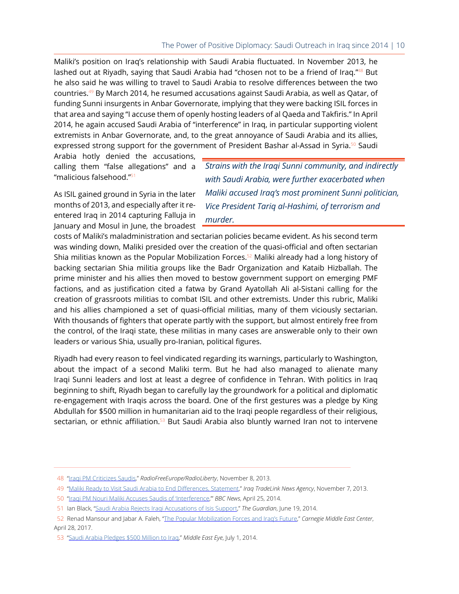Maliki's position on Iraq's relationship with Saudi Arabia fluctuated. In November 2013, he lashed out at Riyadh, saying that Saudi Arabia had "chosen not to be a friend of Iraq."<sup>48</sup> But he also said he was willing to travel to Saudi Arabia to resolve differences between the two countries.<sup>49</sup> By March 2014, he resumed accusations against Saudi Arabia, as well as Qatar, of funding Sunni insurgents in Anbar Governorate, implying that they were backing ISIL forces in that area and saying "I accuse them of openly hosting leaders of al Qaeda and Takfiris." In April 2014, he again accused Saudi Arabia of "interference" in Iraq, in particular supporting violent extremists in Anbar Governorate, and, to the great annoyance of Saudi Arabia and its allies, expressed strong support for the government of President Bashar al-Assad in Syria.<sup>50</sup> Saudi

Arabia hotly denied the accusations, calling them "false allegations" and a "malicious falsehood."<sup>51</sup>

As ISIL gained ground in Syria in the later months of 2013, and especially after it reentered Iraq in 2014 capturing Falluja in January and Mosul in June, the broadest *Strains with the Iraqi Sunni community, and indirectly with Saudi Arabia, were further exacerbated when Maliki accused Iraq's most prominent Sunni politician, Vice President Tariq al-Hashimi, of terrorism and murder.*

costs of Maliki's maladministration and sectarian policies became evident. As his second term was winding down, Maliki presided over the creation of the quasi-official and often sectarian Shia militias known as the Popular Mobilization Forces.<sup>52</sup> Maliki already had a long history of backing sectarian Shia militia groups like the Badr Organization and Kataib Hizballah. The prime minister and his allies then moved to bestow government support on emerging PMF factions, and as justification cited a fatwa by Grand Ayatollah Ali al-Sistani calling for the creation of grassroots militias to combat ISIL and other extremists. Under this rubric, Maliki and his allies championed a set of quasi-official militias, many of them viciously sectarian. With thousands of fighters that operate partly with the support, but almost entirely free from the control, of the Iraqi state, these militias in many cases are answerable only to their own leaders or various Shia, usually pro-Iranian, political figures.

Riyadh had every reason to feel vindicated regarding its warnings, particularly to Washington, about the impact of a second Maliki term. But he had also managed to alienate many Iraqi Sunni leaders and lost at least a degree of confidence in Tehran. With politics in Iraq beginning to shift, Riyadh began to carefully lay the groundwork for a political and diplomatic re-engagement with Iraqis across the board. One of the first gestures was a pledge by King Abdullah for \$500 million in humanitarian aid to the Iraqi people regardless of their religious, sectarian, or ethnic affiliation.<sup>53</sup> But Saudi Arabia also bluntly warned Iran not to intervene

 <sup>48 &</sup>quot;[Iraqi PM Criticizes Saudis](https://www.rferl.org/a/iraq-maliki-saudi-arabia/25162611.html)," *RadioFreeEurope/RadioLiberty*, November 8, 2013.

 <sup>49 &</sup>quot;[Maliki Ready to Visit Saudi Arabia to End Differences, Statement](http://www.iraqtradelinknews.com/2013/11/maliki-ready-to-visit-saudi-arabia-to.html)," *Iraq TradeLink News Agency*, November 7, 2013.

 <sup>50 &</sup>quot;[Iraqi PM Nouri Maliki Accuses Saudis of 'Interference](http://www.bbc.com/news/world-middle-east-27162878),'" *BBC News*, April 25, 2014.

 <sup>51</sup> Ian Black, ["Saudi Arabia Rejects Iraqi Accusations of Isis Support](https://www.theguardian.com/world/2014/jun/19/saudi-arabia-rejects-iraqi-accusations-isis-support)," *The Guardian*, June 19, 2014.

 <sup>52</sup> Renad Mansour and Jabar A. Faleh, "[The Popular Mobilization Forces and Iraq's Future](http://carnegie-mec.org/2017/04/28/popular-mobilization-forces-and-iraq-s-future-pub-68810)," *Carnegie Middle East Center*, April 28, 2017.

 <sup>53 &</sup>quot;[Saudi Arabia Pledges \\$500 Million to Iraq](http://www.middleeasteye.net/news/saudi-arabia-pledges-500-million-iraq-867573767)," *Middle East Eye*, July 1, 2014.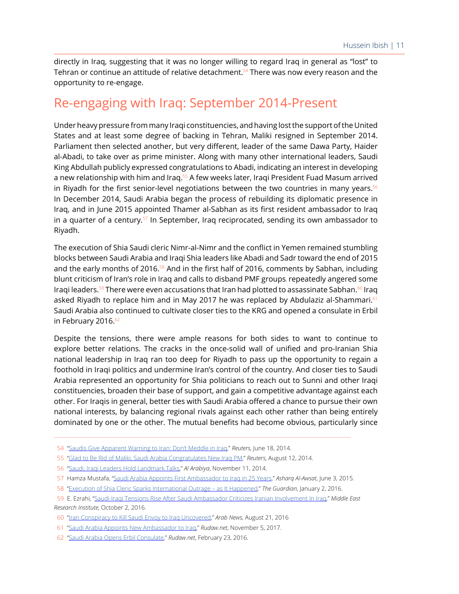directly in Iraq, suggesting that it was no longer willing to regard Iraq in general as "lost" to Tehran or continue an attitude of relative detachment. $54$  There was now every reason and the opportunity to re-engage.

## Re-engaging with Iraq: September 2014-Present

Under heavy pressure from many Iraqi constituencies, and having lost the support of the United States and at least some degree of backing in Tehran, Maliki resigned in September 2014. Parliament then selected another, but very different, leader of the same Dawa Party, Haider al-Abadi, to take over as prime minister. Along with many other international leaders, Saudi King Abdullah publicly expressed congratulations to Abadi, indicating an interest in developing a new relationship with him and Iraq.<sup>55</sup> A few weeks later, Iraqi President Fuad Masum arrived in Riyadh for the first senior-level negotiations between the two countries in many years.<sup>56</sup> In December 2014, Saudi Arabia began the process of rebuilding its diplomatic presence in Iraq, and in June 2015 appointed Thamer al-Sabhan as its first resident ambassador to Iraq in a quarter of a century.<sup>57</sup> In September, Iraq reciprocated, sending its own ambassador to Riyadh.

The execution of Shia Saudi cleric Nimr-al-Nimr and the conflict in Yemen remained stumbling blocks between Saudi Arabia and Iraqi Shia leaders like Abadi and Sadr toward the end of 2015 and the early months of 2016.<sup>58</sup> And in the first half of 2016, comments by Sabhan, including blunt criticism of Iran's role in Iraq and calls to disband PMF groups, repeatedly angered some Iraqi leaders.<sup>59</sup> There were even accusations that Iran had plotted to assassinate Sabhan.<sup>60</sup> Iraq asked Riyadh to replace him and in May 2017 he was replaced by Abdulaziz al-Shammari.<sup>61</sup> Saudi Arabia also continued to cultivate closer ties to the KRG and opened a consulate in Erbil in February 2016.<sup>62</sup>

Despite the tensions, there were ample reasons for both sides to want to continue to explore better relations. The cracks in the once-solid wall of unified and pro-Iranian Shia national leadership in Iraq ran too deep for Riyadh to pass up the opportunity to regain a foothold in Iraqi politics and undermine Iran's control of the country. And closer ties to Saudi Arabia represented an opportunity for Shia politicians to reach out to Sunni and other Iraqi constituencies, broaden their base of support, and gain a competitive advantage against each other. For Iraqis in general, better ties with Saudi Arabia offered a chance to pursue their own national interests, by balancing regional rivals against each other rather than being entirely dominated by one or the other. The mutual benefits had become obvious, particularly since

 <sup>54 &</sup>quot;[Saudis Give Apparent Warning to Iran: Don't Meddle in Iraq](https://www.reuters.com/article/saudi-iraq-security/update-3-saudis-give-apparent-warning-to-iran-dont-meddle-in-iraq-idUSL5N0OZ28320140618)," *Reuters*, June 18, 2014.

 <sup>55 &</sup>quot;[Glad to Be Rid of Maliki, Saudi Arabia Congratulates New Iraq PM](https://www.reuters.com/article/us-iraq-security-saudi/glad-to-be-rid-of-maliki-saudi-arabia-congratulates-new-iraq-pm-idUSKBN0GC1M620140812)," *Reuters*, August 12, 2014.

 <sup>56 &</sup>quot;[Saudi, Iraqi Leaders Hold Landmark Talks](https://english.alarabiya.net/en/News/middle-east/2014/11/11/Iraqi-president-in-landmark-visit-to-Saudi-Arabia.html)," *Al Arabiya*, November 11, 2014.

 <sup>57</sup> Hamza Mustafa, "[Saudi Arabia Appoints First Ambassador to Iraq in 25 Years](https://eng-archive.aawsat.com/hamzamustafa/news-middle-east/saudi-arabia-appoints-first-ambassador-to-iraq-in-25-years.)," *Asharq Al-Awsat*, June 3, 2015.

 <sup>58 &</sup>quot;[Execution of Shia Cleric Sparks International Outrage – as It Happened,](https://www.theguardian.com/world/live/2016/jan/02/middle-east-condemns-saudi-execution-of-shia-cleric-live?page=with:block-5687cb54e4b0741a0d9ca688)" *The Guardian*, January 2, 2016.

 <sup>59</sup> E. Ezrahi, ["Saudi-Iraqi Tensions Rise After Saudi Ambassador Criticizes Iranian Involvement In Iraq,](https://www.memri.org/reports/saudi-iraqi-tensions-rise-after-saudi-ambassador-criticizes-iranian-involvement-iraq)" *Middle East Research Institute*, October 2, 2016.

 <sup>60 &</sup>quot;[Iran Conspiracy to Kill Saudi Envoy to Iraq Uncovered](http://www.arabnews.com/node/973491/middle-east)," *Arab News*, August 21, 2016

 <sup>61 &</sup>quot;[Saudi Arabia Appoints New Ambassador to Iraq,](http://www.rudaw.net/english/middleeast/iraq/051120171)" *Rudaw.net*, November 5, 2017.

 <sup>62 &</sup>quot;[Saudi Arabia Opens Erbil Consulat](http://www.rudaw.net/english/kurdistan/230220168.)e," *Rudaw.net*, February 23, 2016.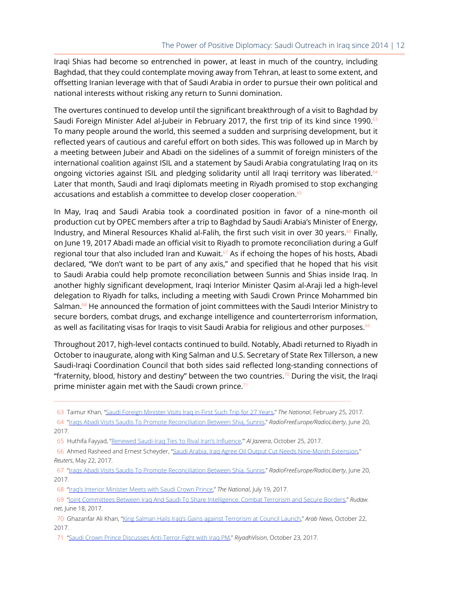Iraqi Shias had become so entrenched in power, at least in much of the country, including Baghdad, that they could contemplate moving away from Tehran, at least to some extent, and offsetting Iranian leverage with that of Saudi Arabia in order to pursue their own political and national interests without risking any return to Sunni domination.

The overtures continued to develop until the significant breakthrough of a visit to Baghdad by Saudi Foreign Minister Adel al-Jubeir in February 2017, the first trip of its kind since 1990.<sup>63</sup> To many people around the world, this seemed a sudden and surprising development, but it reflected years of cautious and careful effort on both sides. This was followed up in March by a meeting between Jubeir and Abadi on the sidelines of a summit of foreign ministers of the international coalition against ISIL and a statement by Saudi Arabia congratulating Iraq on its ongoing victories against ISIL and pledging solidarity until all Iraqi territory was liberated.<sup>64</sup> Later that month, Saudi and Iraqi diplomats meeting in Riyadh promised to stop exchanging accusations and establish a committee to develop closer cooperation.<sup>65</sup>

In May, Iraq and Saudi Arabia took a coordinated position in favor of a nine-month oil production cut by OPEC members after a trip to Baghdad by Saudi Arabia's Minister of Energy, Industry, and Mineral Resources Khalid al-Falih, the first such visit in over 30 years.<sup>66</sup> Finally, on June 19, 2017 Abadi made an official visit to Riyadh to promote reconciliation during a Gulf regional tour that also included Iran and Kuwait. $57$  As if echoing the hopes of his hosts, Abadi declared, "We don't want to be part of any axis," and specified that he hoped that his visit to Saudi Arabia could help promote reconciliation between Sunnis and Shias inside Iraq. In another highly significant development, Iraqi Interior Minister Qasim al-Araji led a high-level delegation to Riyadh for talks, including a meeting with Saudi Crown Prince Mohammed bin Salman.<sup>68</sup> He announced the formation of joint committees with the Saudi Interior Ministry to secure borders, combat drugs, and exchange intelligence and counterterrorism information, as well as facilitating visas for Iraqis to visit Saudi Arabia for religious and other purposes.<sup>69</sup>

Throughout 2017, high-level contacts continued to build. Notably, Abadi returned to Riyadh in October to inaugurate, along with King Salman and U.S. Secretary of State Rex Tillerson, a new Saudi-Iraqi Coordination Council that both sides said reflected long-standing connections of "fraternity, blood, history and destiny" between the two countries.<sup>70</sup> During the visit, the Iraqi prime minister again met with the Saudi crown prince. $71$ 

 <sup>63</sup> Taimur Khan, ["Saudi Foreign Minister Visits Iraq in First Such Trip for 27 Years,](https://www.thenational.ae/world/saudi-foreign-minister-visits-iraq-in-first-such-trip-for-27-years-1.80615.)" *The National*, February 25, 2017.

 <sup>64 &</sup>quot;[Iraqs Abadi Visits Saudis To Promote Reconciliation Between Shia, Sunnis,](https://www.rferl.org/a/iraq-prime-minister-abadi-visit-saudi-arabia-promote-reconciliation-shia-sunnis-iran/28565761.html.)" *RadioFreeEurope/RadioLiberty*, June 20, 2017.

 <sup>65</sup> Huthifa Fayyad, "[Renewed Saudi-Iraq Ties 'to Rival Iran's Influence](https://www.aljazeera.com/news/2017/10/renewed-saudi-iraq-ties-rival-iran-influence-171024151411564.html),'" *Al Jazeera*, October 25, 2017.

 <sup>66</sup> Ahmed Rasheed and Ernest Scheyder, "[Saudi Arabia, Iraq Agree Oil Output Cut Needs Nine-Month Extension,](https://www.reuters.com/article/us-iraq-oil-saudi-opec/saudi-arabia-iraq-agree-oil-output-cut-needs-nine-month-extension-idUSKBN18I0HA)" *Reuters*, May 22, 2017.

 <sup>67 &</sup>quot;[Iraqs Abadi Visits Saudis To Promote Reconciliation Between Shia, Sunnis,](https://www.rferl.org/a/iraq-prime-minister-abadi-visit-saudi-arabia-promote-reconciliation-shia-sunnis-iran/28565761.html)" *RadioFreeEurope/RadioLiberty*, June 20, 2017.

 <sup>68 &</sup>quot;[Iraq's Interior Minister Meets with Saudi Crown Prince,](https://www.thenational.ae/world/gcc/iraq-s-interior-minister-meets-with-saudi-crown-prince-1.610401)" *The National*, July 19, 2017.

 <sup>69 &</sup>quot;[Joint Committees Between Iraq And Saudi To Share Intelligence, Combat Terrorism and Secure Borders,](http://www.rudaw.net/arabic/middleeast/iraq/180720172)" *Rudaw. net*, June 18, 2017.

 <sup>70</sup> Ghazanfar Ali Khan, "[King Salman Hails Iraq's Gains against Terrorism at Council Launch](http://www.arabnews.com/node/1181956/saudi-arabia)," *Arab News*, October 22, 2017.

 <sup>71 &</sup>quot;Saudi Crown Prince Discusses Anti-Terror Fight with Iraq PM," *RiyadhVision*, October 23, 2017.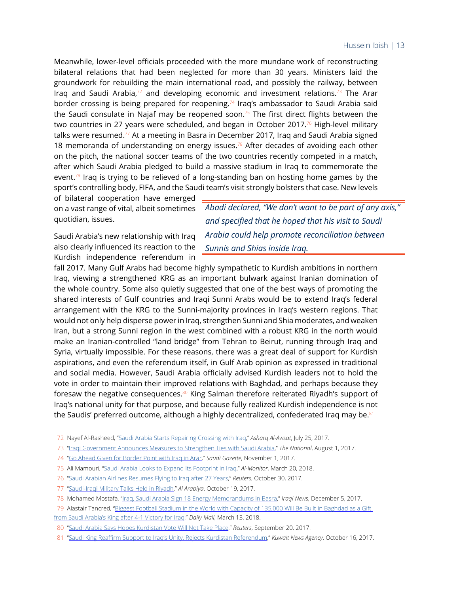Meanwhile, lower-level officials proceeded with the more mundane work of reconstructing bilateral relations that had been neglected for more than 30 years. Ministers laid the groundwork for rebuilding the main international road, and possibly the railway, between Irag and Saudi Arabia,<sup>72</sup> and developing economic and investment relations.<sup>73</sup> The Arar border crossing is being prepared for reopening.<sup>74</sup> Iraq's ambassador to Saudi Arabia said the Saudi consulate in Najaf may be reopened soon.<sup>75</sup> The first direct flights between the two countries in 27 years were scheduled, and began in October 2017.<sup>76</sup> High-level military talks were resumed.<sup>77</sup> At a meeting in Basra in December 2017, Iraq and Saudi Arabia signed 18 memoranda of understanding on energy issues.<sup>78</sup> After decades of avoiding each other on the pitch, the national soccer teams of the two countries recently competed in a match, after which Saudi Arabia pledged to build a massive stadium in Iraq to commemorate the event. $79$  Iraq is trying to be relieved of a long-standing ban on hosting home games by the sport's controlling body, FIFA, and the Saudi team's visit strongly bolsters that case. New levels

of bilateral cooperation have emerged on a vast range of vital, albeit sometimes quotidian, issues.

Saudi Arabia's new relationship with Iraq also clearly influenced its reaction to the Kurdish independence referendum in

*Abadi declared, "We don't want to be part of any axis," and specified that he hoped that his visit to Saudi Arabia could help promote reconciliation between Sunnis and Shias inside Iraq.*

fall 2017. Many Gulf Arabs had become highly sympathetic to Kurdish ambitions in northern Iraq, viewing a strengthened KRG as an important bulwark against Iranian domination of the whole country. Some also quietly suggested that one of the best ways of promoting the shared interests of Gulf countries and Iraqi Sunni Arabs would be to extend Iraq's federal arrangement with the KRG to the Sunni-majority provinces in Iraq's western regions. That would not only help disperse power in Iraq, strengthen Sunni and Shia moderates, and weaken Iran, but a strong Sunni region in the west combined with a robust KRG in the north would make an Iranian-controlled "land bridge" from Tehran to Beirut, running through Iraq and Syria, virtually impossible. For these reasons, there was a great deal of support for Kurdish aspirations, and even the referendum itself, in Gulf Arab opinion as expressed in traditional and social media. However, Saudi Arabia officially advised Kurdish leaders not to hold the vote in order to maintain their improved relations with Baghdad, and perhaps because they foresaw the negative consequences.<sup>80</sup> King Salman therefore reiterated Riyadh's support of Iraq's national unity for that purpose, and because fully realized Kurdish independence is not the Saudis' preferred outcome, although a highly decentralized, confederated Iraq may be.<sup>81</sup>

 <sup>72</sup> Nayef Al-Rasheed, ["Saudi Arabia Starts Repairing Crossing with Iraq](https://eng-archive.aawsat.com/n-al-rasheed/news-middle-east/saudi-arabia-starts-repairing-crossing-iraq)," *Asharq Al-Awsat*, July 25, 2017.

 <sup>73 &</sup>quot;[Iraqi Government Announces Measures to Strengthen Ties with Saudi Arabia](https://www.thenational.ae/world/mena/iraqi-government-announces-measures-to-strengthen-ties-with-saudi-arabia-1.616135)," *The National*, August 1, 2017.

 <sup>74 &</sup>quot;[Go Ahead Given for Border Point with Iraq in Arar](http://saudigazette.com.sa/article/520765/SAUDI-ARABIA/Go-ahead-given-for-border-point-with-Iraq-in-Arar)," *Saudi Gazette*, November 1, 2017.

 <sup>75</sup> Ali Mamouri, "[Saudi Arabia Looks to Expand Its Footprint in Iraq,](https://www.al-monitor.com/pulse/originals/2018/03/iraq-saudi-basra-najaf.html)" *Al-Monitor*, March 20, 2018.

 <sup>76 &</sup>quot;[Saudi Arabian Airlines Resumes Flying to Iraq after 27 Years](https://www.reuters.com/article/us-saudi-airlines-iraq/saudi-arabian-airlines-resumes-flying-to-iraq-after-27-years-idUSKBN1CZ0DI)," *Reuters*, October 30, 2017.

 <sup>77 &</sup>quot;[Saudi-Iraqi Military Talks Held in Riyadh,](https://english.alarabiya.net/en/News/gulf/2017/10/19/Crucial-Saudi-Iraqi-military-talks-held-in-Riyadh.html)" *Al Arabiya*, October 19, 2017.

 <sup>78</sup> Mohamed Mostafa, ["Iraq, Saudi Arabia Sign 18 Energy Memorandums in Basra,](https://www.iraqinews.com/business-iraqi-dinar/iraq-saudi-arabia-sign-18-energy-agreements/)" *Iraqi News*, December 5, 2017.

 <sup>79</sup> Alastair Tancred, ["Biggest Football Stadium in the World with Capacity of 135,000 Will Be Built in Baghdad as a Gift](http://www.dailymail.co.uk/news/article-5483295/Saudi-Arabia-offers-build-biggest-football-stadium-Iraq.html)  [from Saudi Arabia's King after 4-1 Victory for Iraq](http://www.dailymail.co.uk/news/article-5483295/Saudi-Arabia-offers-build-biggest-football-stadium-Iraq.html)," *Daily Mail*, March 13, 2018.

 <sup>80 &</sup>quot;[Saudi Arabia Says Hopes Kurdistan Vote Will Not Take Place,](https://www.reuters.com/article/us-mideast-crisis-kurds-saudi/saudi-arabia-says-hopes-kurdistan-vote-will-not-take-place-idUSKCN1BV1L7?il=0)" *Reuters*, September 20, 2017.

 <sup>81 &</sup>quot;[Saudi King Reaffirm Support to Iraq's Unity, Rejects Kurdistan Referendum](https://www.kuna.net.kw/ArticleDetails.aspx?id=2647037&Language=en)," *Kuwait News Agency*, October 16, 2017.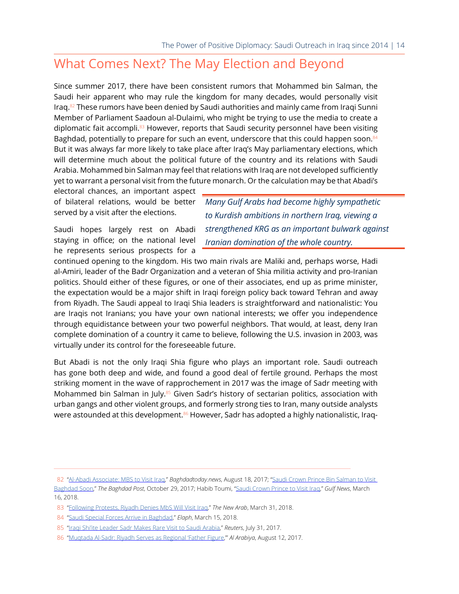### What Comes Next? The May Election and Beyond

Since summer 2017, there have been consistent rumors that Mohammed bin Salman, the Saudi heir apparent who may rule the kingdom for many decades, would personally visit Iraq.<sup>82</sup> These rumors have been denied by Saudi authorities and mainly came from Iraqi Sunni Member of Parliament Saadoun al-Dulaimi, who might be trying to use the media to create a diplomatic fait accompli.<sup>83</sup> However, reports that Saudi security personnel have been visiting Baghdad, potentially to prepare for such an event, underscore that this could happen soon.<sup>84</sup> But it was always far more likely to take place after Iraq's May parliamentary elections, which will determine much about the political future of the country and its relations with Saudi Arabia. Mohammed bin Salman may feel that relations with Iraq are not developed sufficiently yet to warrant a personal visit from the future monarch. Or the calculation may be that Abadi's

electoral chances, an important aspect of bilateral relations, would be better served by a visit after the elections.

Saudi hopes largely rest on Abadi staying in office; on the national level he represents serious prospects for a *Many Gulf Arabs had become highly sympathetic to Kurdish ambitions in northern Iraq, viewing a strengthened KRG as an important bulwark against Iranian domination of the whole country.*

continued opening to the kingdom. His two main rivals are Maliki and, perhaps worse, Hadi al-Amiri, leader of the Badr Organization and a veteran of Shia militia activity and pro-Iranian politics. Should either of these figures, or one of their associates, end up as prime minister, the expectation would be a major shift in Iraqi foreign policy back toward Tehran and away from Riyadh. The Saudi appeal to Iraqi Shia leaders is straightforward and nationalistic: You are Iraqis not Iranians; you have your own national interests; we offer you independence through equidistance between your two powerful neighbors. That would, at least, deny Iran complete domination of a country it came to believe, following the U.S. invasion in 2003, was virtually under its control for the foreseeable future.

But Abadi is not the only Iraqi Shia figure who plays an important role. Saudi outreach has gone both deep and wide, and found a good deal of fertile ground. Perhaps the most striking moment in the wave of rapprochement in 2017 was the image of Sadr meeting with Mohammed bin Salman in July. $85$  Given Sadr's history of sectarian politics, association with urban gangs and other violent groups, and formerly strong ties to Iran, many outside analysts were astounded at this development. $86$  However, Sadr has adopted a highly nationalistic, Iraq-

 <sup>82 &</sup>quot;[Al-Abadi Associate: MBS to Visit Iraq,](http://baghdadtoday.news/news/11818/%D9%85%D9%82%D8%B1%D8%A8-%D9%85%D9%86-%D8%A7%D9%84%D8%B9%D8%A8%D8%A7%D8%AF%D9%8A-%D9%8A%D8%B1%D8%AC%D8%AD-%D8%B2%D9%8A%D8%A7%D8%B1%D8%A9-%D9%88%D9%81%D8%AF-%D8%B3%D8%B9%D9%88%D8%AF%D9%8A-%D8%B1%D9%81%D9%8A%D8%B9)" *Baghdadtoday.news*, August 18, 2017; ["Saudi Crown Prince Bin Salman to Visit](http://www.thebaghdadpost.com/en/story/18930/Saudi-Crown-Prince-Bin-Salman-to-visit-Baghdad-soon)  [Baghdad Soon](http://www.thebaghdadpost.com/en/story/18930/Saudi-Crown-Prince-Bin-Salman-to-visit-Baghdad-soon)," *The Baghdad Post*, October 29, 2017; Habib Toumi, "[Saudi Crown Prince to Visit Iraq](http://gulfnews.com/news/gulf/saudi-arabia/saudi-crown-prince-to-visit-iraq-1.2187149)," *Gulf News*, March 16, 2018.

 <sup>83 &</sup>quot;[Following Protests, Riyadh Denies MbS Will Visit Iraq](https://www.alaraby.co.uk/english/news/2018/3/31/following-protests-riyadh-denies-mbs-prince-will-visit-iraq)," *The New Arab*, March 31, 2018.

 <sup>84 &</sup>quot;[Saudi Special Forces Arrive in Baghdad](http://elaph.com/Web/News/2018/3/1194706.html)," *Elaph*, March 15, 2018.

 <sup>85 &</sup>quot;[Iraqi Shi'ite Leader Sadr Makes Rare Visit to Saudi Arabia](https://www.reuters.com/article/us-saudi-iraq-cleric/iraqi-shiite-leader-sadr-makes-rare-visit-to-saudi-arabia-idUSKBN1AF0UN)," *Reuters*, July 31, 2017.

 <sup>86 &</sup>quot;[Muqtada Al-Sadr: Riyadh Serves as Regional 'Father Figure,](https://english.alarabiya.net/en/News/gulf/2017/08/12/Al-Sadr-Riyadh-serves-as-a-father-figure.html)'" *Al Arabiya*, August 12, 2017.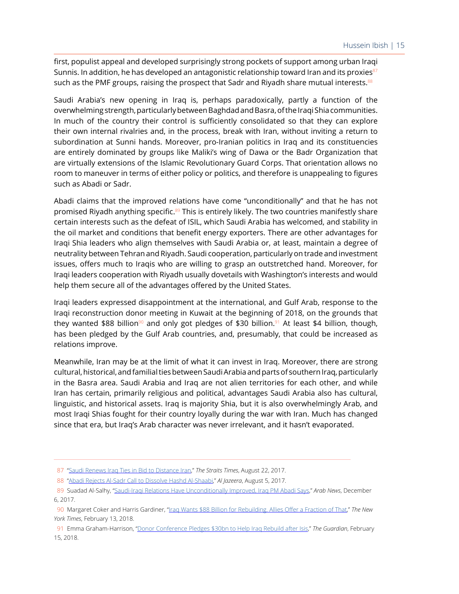first, populist appeal and developed surprisingly strong pockets of support among urban Iraqi Sunnis. In addition, he has developed an antagonistic relationship toward Iran and its proxies $87$ such as the PMF groups, raising the prospect that Sadr and Riyadh share mutual interests.<sup>88</sup>

Saudi Arabia's new opening in Iraq is, perhaps paradoxically, partly a function of the overwhelming strength, particularly between Baghdad and Basra, of the Iraqi Shia communities. In much of the country their control is sufficiently consolidated so that they can explore their own internal rivalries and, in the process, break with Iran, without inviting a return to subordination at Sunni hands. Moreover, pro-Iranian politics in Iraq and its constituencies are entirely dominated by groups like Maliki's wing of Dawa or the Badr Organization that are virtually extensions of the Islamic Revolutionary Guard Corps. That orientation allows no room to maneuver in terms of either policy or politics, and therefore is unappealing to figures such as Abadi or Sadr.

Abadi claims that the improved relations have come "unconditionally" and that he has not promised Riyadh anything specific. $89$  This is entirely likely. The two countries manifestly share certain interests such as the defeat of ISIL, which Saudi Arabia has welcomed, and stability in the oil market and conditions that benefit energy exporters. There are other advantages for Iraqi Shia leaders who align themselves with Saudi Arabia or, at least, maintain a degree of neutrality between Tehran and Riyadh. Saudi cooperation, particularly on trade and investment issues, offers much to Iraqis who are willing to grasp an outstretched hand. Moreover, for Iraqi leaders cooperation with Riyadh usually dovetails with Washington's interests and would help them secure all of the advantages offered by the United States.

Iraqi leaders expressed disappointment at the international, and Gulf Arab, response to the Iraqi reconstruction donor meeting in Kuwait at the beginning of 2018, on the grounds that they wanted \$88 billion<sup>90</sup> and only got pledges of \$30 billion.<sup>91</sup> At least \$4 billion, though, has been pledged by the Gulf Arab countries, and, presumably, that could be increased as relations improve.

Meanwhile, Iran may be at the limit of what it can invest in Iraq. Moreover, there are strong cultural, historical, and familial ties between Saudi Arabia and parts of southern Iraq, particularly in the Basra area. Saudi Arabia and Iraq are not alien territories for each other, and while Iran has certain, primarily religious and political, advantages Saudi Arabia also has cultural, linguistic, and historical assets. Iraq is majority Shia, but it is also overwhelmingly Arab, and most Iraqi Shias fought for their country loyally during the war with Iran. Much has changed since that era, but Iraq's Arab character was never irrelevant, and it hasn't evaporated.

 <sup>87 &</sup>quot;[Saudi Renews Iraq Ties in Bid to Distance Iran,](http://www.straitstimes.com/world/middle-east/saudi-renews-iraq-ties-in-bid-to-distance-iran)" *The Straits Times*, August 22, 2017.

 <sup>88 &</sup>quot;[Abadi Rejects Al-Sadr Call to Dissolve Hashd Al-Shaabi](https://www.aljazeera.com/news/2017/08/abadi-rejects-al-sadr-call-dissolve-hashd-al-shaabi-170805153517075.html)," *Al Jazeera*, August 5, 2017.

 <sup>89</sup> Suadad Al-Salhy, "[Saudi-Iraqi Relations Have Unconditionally Improved, Iraq PM Abadi Says,](http://www.arabnews.com/node/1204536/middle-east)" *Arab News*, December 6, 2017.

 <sup>90</sup> Margaret Coker and Harris Gardiner, "[Iraq Wants \\$88 Billion for Rebuilding. Allies Offer a Fraction of That](https://www.nytimes.com/2018/02/13/world/middleeast/iraqi-donor-conference-abadi-tillerson.html?mtrref=undefined&gwh=7D88D84099C501F1A7A1F3325F8B0EA7&gwt=pay)," *The New York Times*, February 13, 2018.

 <sup>91</sup> Emma Graham-Harrison, ["Donor Conference Pledges \\$30bn to Help Iraq Rebuild after Isis,](https://www.theguardian.com/world/2018/feb/15/donor-conference-pledges-30bn-to-help-iraq-rebuild-after-isis)" *The Guardian*, February 15, 2018.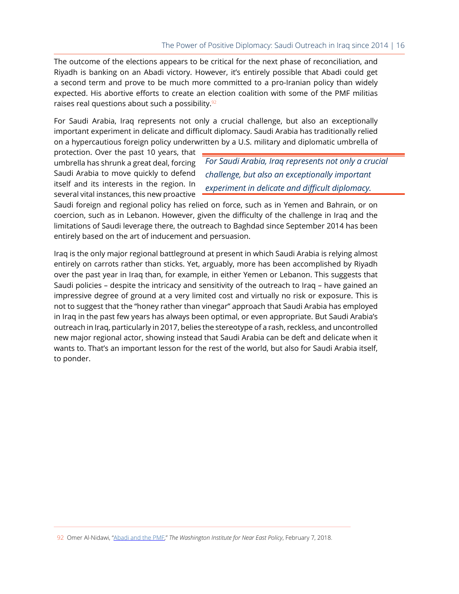The outcome of the elections appears to be critical for the next phase of reconciliation, and Riyadh is banking on an Abadi victory. However, it's entirely possible that Abadi could get a second term and prove to be much more committed to a pro-Iranian policy than widely expected. His abortive efforts to create an election coalition with some of the PMF militias raises real questions about such a possibility.<sup>92</sup>

For Saudi Arabia, Iraq represents not only a crucial challenge, but also an exceptionally important experiment in delicate and difficult diplomacy. Saudi Arabia has traditionally relied on a hypercautious foreign policy underwritten by a U.S. military and diplomatic umbrella of

protection. Over the past 10 years, that umbrella has shrunk a great deal, forcing Saudi Arabia to move quickly to defend itself and its interests in the region. In several vital instances, this new proactive

*For Saudi Arabia, Iraq represents not only a crucial challenge, but also an exceptionally important experiment in delicate and difficult diplomacy.*

Saudi foreign and regional policy has relied on force, such as in Yemen and Bahrain, or on coercion, such as in Lebanon. However, given the difficulty of the challenge in Iraq and the limitations of Saudi leverage there, the outreach to Baghdad since September 2014 has been entirely based on the art of inducement and persuasion.

Iraq is the only major regional battleground at present in which Saudi Arabia is relying almost entirely on carrots rather than sticks. Yet, arguably, more has been accomplished by Riyadh over the past year in Iraq than, for example, in either Yemen or Lebanon. This suggests that Saudi policies – despite the intricacy and sensitivity of the outreach to Iraq – have gained an impressive degree of ground at a very limited cost and virtually no risk or exposure. This is not to suggest that the "honey rather than vinegar" approach that Saudi Arabia has employed in Iraq in the past few years has always been optimal, or even appropriate. But Saudi Arabia's outreach in Iraq, particularly in 2017, belies the stereotype of a rash, reckless, and uncontrolled new major regional actor, showing instead that Saudi Arabia can be deft and delicate when it wants to. That's an important lesson for the rest of the world, but also for Saudi Arabia itself, to ponder.